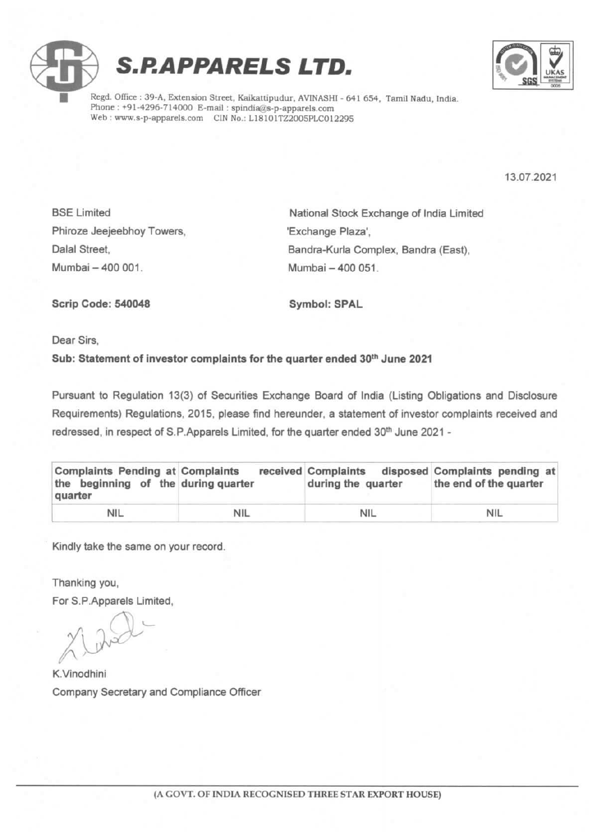



Regd. Office : 39-A, Extension Street, Kaikattipudur, AVINASHI - 641 654, Tamil Nadu, India. Phone : +91-4296-714000 E-mail : spindia@s-p-apparels.com Web : www.s-p-apparels.com CIN No.: L18101TZ2005PLC012295

13.07.2021

Phiroze Jeejeebhoy Towers, Victor (Exchange Plaza', Mumbai 400 001. Mumbai 400 051.

BSE Limited **National Stock Exchange of India Limited** Dalal Street, **Bandra-Kurla Complex, Bandra (East)**, Bandra (East), Bandra (East), Bandra (East), Bandra (East), Bandra (East), Bandra (East), Bandra (East), Bandra (East), Bandra (East), Bandra (East), Bandra (East), Band

Scrip Code: 540048 Symbol: SPAL

Dear Sirs,

## Sub: Statement of investor complaints for the quarter ended 30<sup>th</sup> June 2021

Pursuant to Regulation 13(3) of Securities Exchange Board of India (Listing Obligations and Disclosure Requirements) Regulations, 2015, please find hereunder, a statement of investor complaints received and redressed, in respect of S.P.Apparels Limited, for the quarter ended 30™ June 2021

| <b>Complaints Pending at Complaints</b><br>the beginning of the during quarter<br>quarter |            | received Complaints<br>during the quarter | disposed Complaints pending at<br>the end of the quarter |
|-------------------------------------------------------------------------------------------|------------|-------------------------------------------|----------------------------------------------------------|
| <b>NIL</b>                                                                                | <b>NIL</b> | NIL                                       | <b>NIL</b>                                               |

Kindly take the same on your record.

Thanking you,

For S.P.Apparels Limited,

 $\bigcap$ rad

K.Vinodhini Company Secretary and Compliance Officer